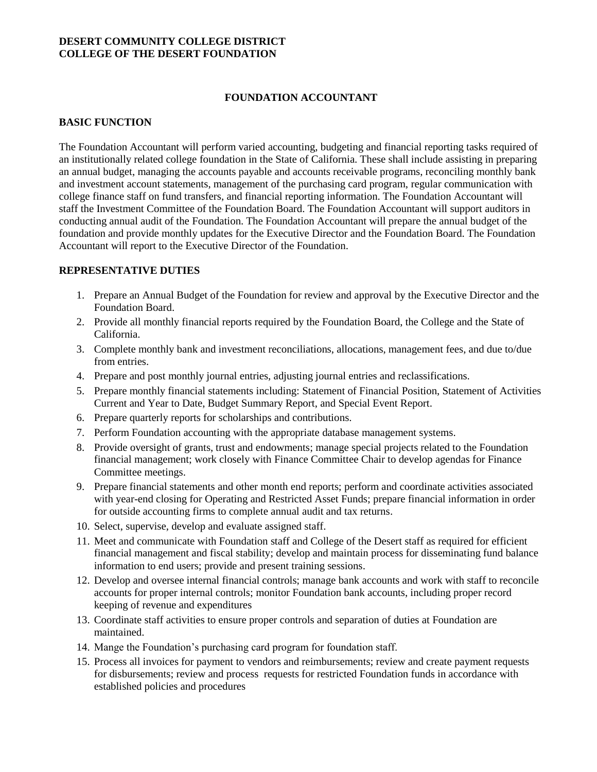### **DESERT COMMUNITY COLLEGE DISTRICT COLLEGE OF THE DESERT FOUNDATION**

## **FOUNDATION ACCOUNTANT**

#### **BASIC FUNCTION**

The Foundation Accountant will perform varied accounting, budgeting and financial reporting tasks required of an institutionally related college foundation in the State of California. These shall include assisting in preparing an annual budget, managing the accounts payable and accounts receivable programs, reconciling monthly bank and investment account statements, management of the purchasing card program, regular communication with college finance staff on fund transfers, and financial reporting information. The Foundation Accountant will staff the Investment Committee of the Foundation Board. The Foundation Accountant will support auditors in conducting annual audit of the Foundation. The Foundation Accountant will prepare the annual budget of the foundation and provide monthly updates for the Executive Director and the Foundation Board. The Foundation Accountant will report to the Executive Director of the Foundation.

## **REPRESENTATIVE DUTIES**

- 1. Prepare an Annual Budget of the Foundation for review and approval by the Executive Director and the Foundation Board.
- 2. Provide all monthly financial reports required by the Foundation Board, the College and the State of California.
- 3. Complete monthly bank and investment reconciliations, allocations, management fees, and due to/due from entries.
- 4. Prepare and post monthly journal entries, adjusting journal entries and reclassifications.
- 5. Prepare monthly financial statements including: Statement of Financial Position, Statement of Activities Current and Year to Date, Budget Summary Report, and Special Event Report.
- 6. Prepare quarterly reports for scholarships and contributions.
- 7. Perform Foundation accounting with the appropriate database management systems.
- 8. Provide oversight of grants, trust and endowments; manage special projects related to the Foundation financial management; work closely with Finance Committee Chair to develop agendas for Finance Committee meetings.
- 9. Prepare financial statements and other month end reports; perform and coordinate activities associated with year-end closing for Operating and Restricted Asset Funds; prepare financial information in order for outside accounting firms to complete annual audit and tax returns.
- 10. Select, supervise, develop and evaluate assigned staff.
- 11. Meet and communicate with Foundation staff and College of the Desert staff as required for efficient financial management and fiscal stability; develop and maintain process for disseminating fund balance information to end users; provide and present training sessions.
- 12. Develop and oversee internal financial controls; manage bank accounts and work with staff to reconcile accounts for proper internal controls; monitor Foundation bank accounts, including proper record keeping of revenue and expenditures
- 13. Coordinate staff activities to ensure proper controls and separation of duties at Foundation are maintained.
- 14. Mange the Foundation's purchasing card program for foundation staff.
- 15. Process all invoices for payment to vendors and reimbursements; review and create payment requests for disbursements; review and process requests for restricted Foundation funds in accordance with established policies and procedures